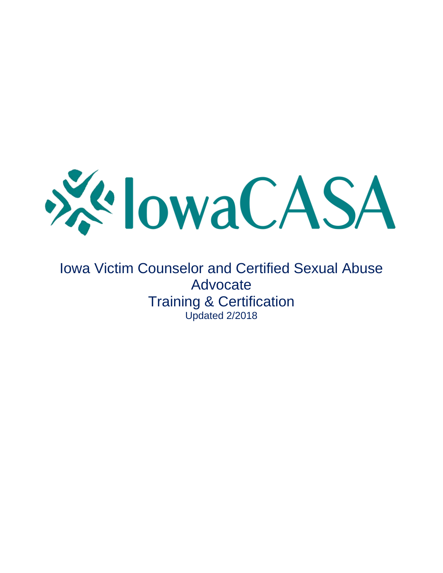

Iowa Victim Counselor and Certified Sexual Abuse Advocate Training & Certification Updated 2/2018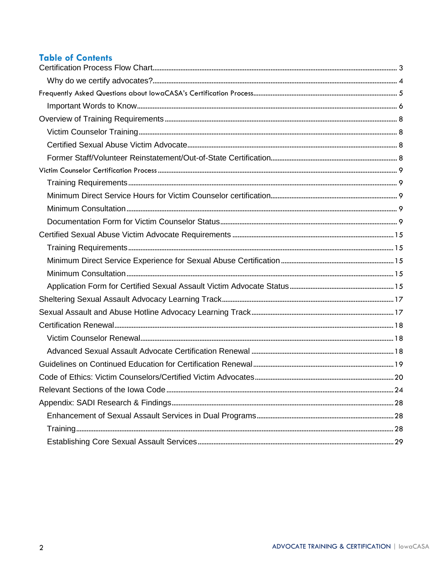# **Table of Contents**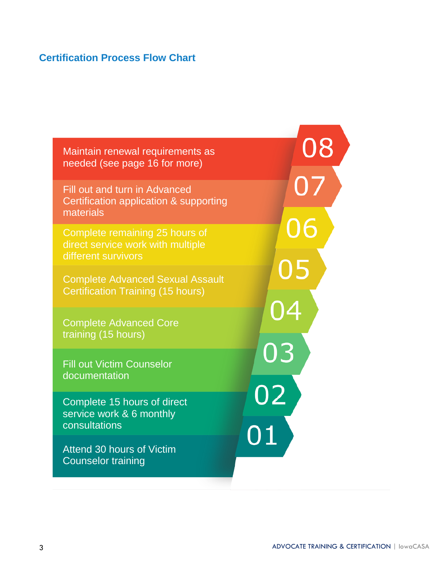# <span id="page-2-0"></span>**Certification Process Flow Chart**

Maintain renewal requirements as needed (see page 16 for more)

Fill out and turn in Advanced Certification application & supporting materials

Complete remaining 25 hours of direct service work with multiple different survivors

Complete Advanced Sexual Assault Certification Training (15 hours)

Complete Advanced Core training (15 hours)

Fill out Victim Counselor documentation

Complete 15 hours of direct service work & 6 monthly consultations

Attend 30 hours of Victim Counselor training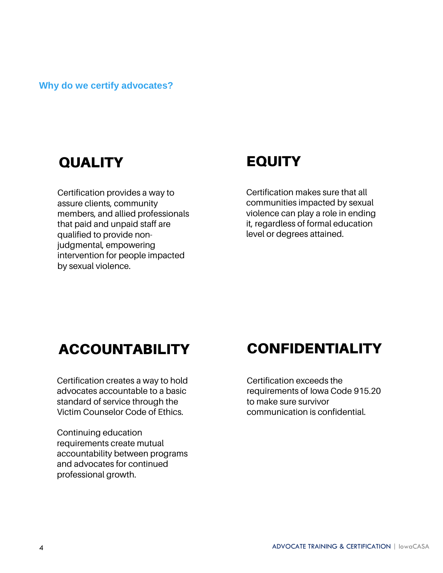<span id="page-3-0"></span>**Why do we certify advocates?**

# QUALITY EQUITY

Certification provides a way to assure clients, community members, and allied professionals that paid and unpaid staff are qualified to provide nonjudgmental, empowering intervention for people impacted by sexual violence.

Certification makes sure that all communities impacted by sexual violence can play a role in ending it, regardless of formal education level or degrees attained.

Certification creates a way to hold advocates accountable to a basic standard of service through the Victim Counselor Code of Ethics.

Continuing education requirements create mutual accountability between programs and advocates for continued professional growth.

# ACCOUNTABILITY CONFIDENTIALITY

Certification exceeds the requirements of Iowa Code 915.20 to make sure survivor communication is confidential.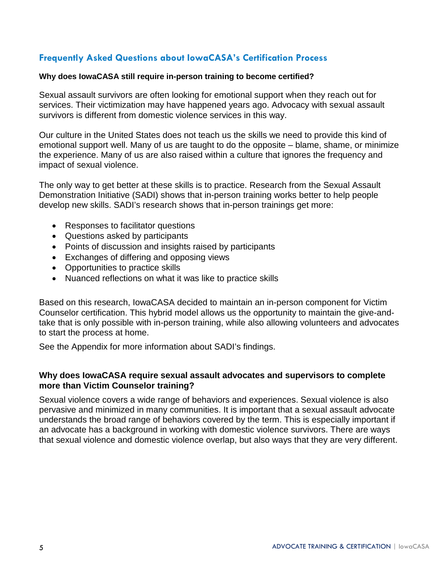# <span id="page-4-0"></span>**Frequently Asked Questions about IowaCASA's Certification Process**

#### **Why does IowaCASA still require in-person training to become certified?**

Sexual assault survivors are often looking for emotional support when they reach out for services. Their victimization may have happened years ago. Advocacy with sexual assault survivors is different from domestic violence services in this way.

Our culture in the United States does not teach us the skills we need to provide this kind of emotional support well. Many of us are taught to do the opposite – blame, shame, or minimize the experience. Many of us are also raised within a culture that ignores the frequency and impact of sexual violence.

The only way to get better at these skills is to practice. Research from the Sexual Assault Demonstration Initiative (SADI) shows that in-person training works better to help people develop new skills. SADI's research shows that in-person trainings get more:

- Responses to facilitator questions
- Questions asked by participants
- Points of discussion and insights raised by participants
- Exchanges of differing and opposing views
- Opportunities to practice skills
- Nuanced reflections on what it was like to practice skills

Based on this research, IowaCASA decided to maintain an in-person component for Victim Counselor certification. This hybrid model allows us the opportunity to maintain the give-andtake that is only possible with in-person training, while also allowing volunteers and advocates to start the process at home.

See the Appendix for more information about SADI's findings.

#### **Why does IowaCASA require sexual assault advocates and supervisors to complete more than Victim Counselor training?**

Sexual violence covers a wide range of behaviors and experiences. Sexual violence is also pervasive and minimized in many communities. It is important that a sexual assault advocate understands the broad range of behaviors covered by the term. This is especially important if an advocate has a background in working with domestic violence survivors. There are ways that sexual violence and domestic violence overlap, but also ways that they are very different.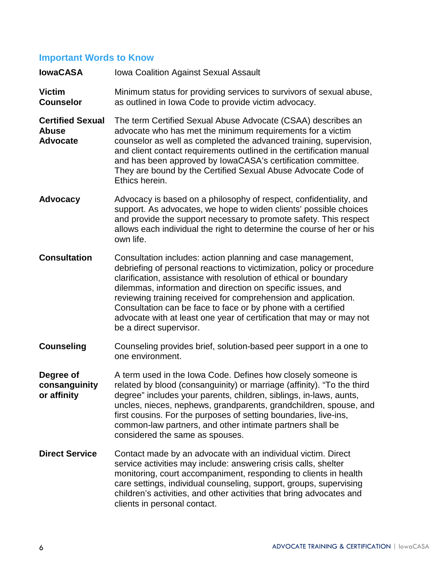# <span id="page-5-0"></span>**Important Words to Know**

| <b>lowaCASA</b>                                            | <b>Iowa Coalition Against Sexual Assault</b>                                                                                                                                                                                                                                                                                                                                                                                                                                                                   |  |  |
|------------------------------------------------------------|----------------------------------------------------------------------------------------------------------------------------------------------------------------------------------------------------------------------------------------------------------------------------------------------------------------------------------------------------------------------------------------------------------------------------------------------------------------------------------------------------------------|--|--|
| <b>Victim</b><br><b>Counselor</b>                          | Minimum status for providing services to survivors of sexual abuse,<br>as outlined in Iowa Code to provide victim advocacy.                                                                                                                                                                                                                                                                                                                                                                                    |  |  |
| <b>Certified Sexual</b><br><b>Abuse</b><br><b>Advocate</b> | The term Certified Sexual Abuse Advocate (CSAA) describes an<br>advocate who has met the minimum requirements for a victim<br>counselor as well as completed the advanced training, supervision,<br>and client contact requirements outlined in the certification manual<br>and has been approved by lowaCASA's certification committee.<br>They are bound by the Certified Sexual Abuse Advocate Code of<br>Ethics herein.                                                                                    |  |  |
| <b>Advocacy</b>                                            | Advocacy is based on a philosophy of respect, confidentiality, and<br>support. As advocates, we hope to widen clients' possible choices<br>and provide the support necessary to promote safety. This respect<br>allows each individual the right to determine the course of her or his<br>own life.                                                                                                                                                                                                            |  |  |
| <b>Consultation</b>                                        | Consultation includes: action planning and case management,<br>debriefing of personal reactions to victimization, policy or procedure<br>clarification, assistance with resolution of ethical or boundary<br>dilemmas, information and direction on specific issues, and<br>reviewing training received for comprehension and application.<br>Consultation can be face to face or by phone with a certified<br>advocate with at least one year of certification that may or may not<br>be a direct supervisor. |  |  |
| <b>Counseling</b>                                          | Counseling provides brief, solution-based peer support in a one to<br>one environment.                                                                                                                                                                                                                                                                                                                                                                                                                         |  |  |
| Degree of<br>consanguinity<br>or affinity                  | A term used in the Iowa Code. Defines how closely someone is<br>related by blood (consanguinity) or marriage (affinity). "To the third<br>degree" includes your parents, children, siblings, in-laws, aunts,<br>uncles, nieces, nephews, grandparents, grandchildren, spouse, and<br>first cousins. For the purposes of setting boundaries, live-ins,<br>common-law partners, and other intimate partners shall be<br>considered the same as spouses.                                                          |  |  |
| <b>Direct Service</b>                                      | Contact made by an advocate with an individual victim. Direct<br>service activities may include: answering crisis calls, shelter<br>monitoring, court accompaniment, responding to clients in health<br>care settings, individual counseling, support, groups, supervising<br>children's activities, and other activities that bring advocates and<br>clients in personal contact.                                                                                                                             |  |  |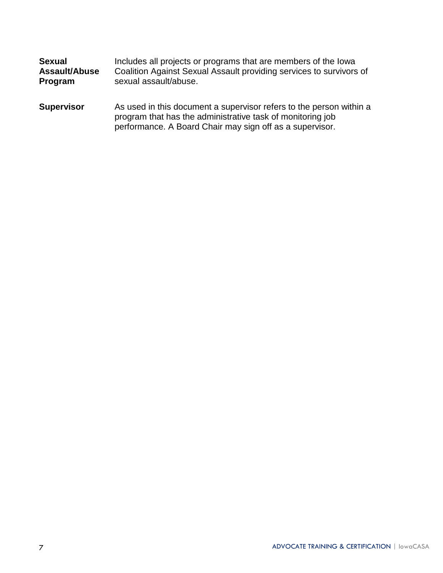| <b>Sexual</b>        | Includes all projects or programs that are members of the lowa                                                                                                                                |
|----------------------|-----------------------------------------------------------------------------------------------------------------------------------------------------------------------------------------------|
| <b>Assault/Abuse</b> | Coalition Against Sexual Assault providing services to survivors of                                                                                                                           |
| Program              | sexual assault/abuse.                                                                                                                                                                         |
| <b>Supervisor</b>    | As used in this document a supervisor refers to the person within a<br>program that has the administrative task of monitoring job<br>performance. A Board Chair may sign off as a supervisor. |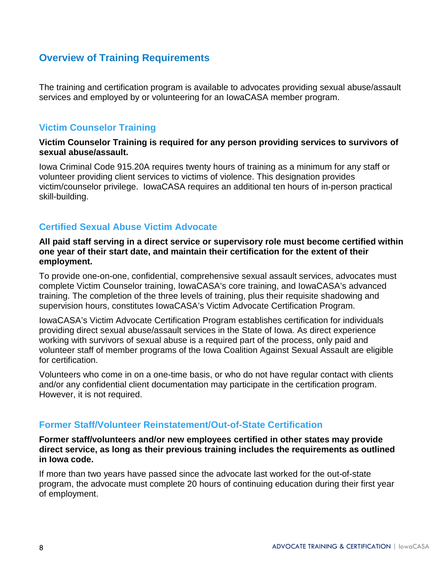# <span id="page-7-0"></span>**Overview of Training Requirements**

The training and certification program is available to advocates providing sexual abuse/assault services and employed by or volunteering for an IowaCASA member program.

# <span id="page-7-1"></span>**Victim Counselor Training**

#### **Victim Counselor Training is required for any person providing services to survivors of sexual abuse/assault.**

Iowa Criminal Code 915.20A requires twenty hours of training as a minimum for any staff or volunteer providing client services to victims of violence. This designation provides victim/counselor privilege. IowaCASA requires an additional ten hours of in-person practical skill-building.

# <span id="page-7-2"></span>**Certified Sexual Abuse Victim Advocate**

#### **All paid staff serving in a direct service or supervisory role must become certified within one year of their start date, and maintain their certification for the extent of their employment.**

To provide one-on-one, confidential, comprehensive sexual assault services, advocates must complete Victim Counselor training, IowaCASA's core training, and IowaCASA's advanced training. The completion of the three levels of training, plus their requisite shadowing and supervision hours, constitutes IowaCASA's Victim Advocate Certification Program.

IowaCASA's Victim Advocate Certification Program establishes certification for individuals providing direct sexual abuse/assault services in the State of Iowa. As direct experience working with survivors of sexual abuse is a required part of the process, only paid and volunteer staff of member programs of the Iowa Coalition Against Sexual Assault are eligible for certification.

Volunteers who come in on a one-time basis, or who do not have regular contact with clients and/or any confidential client documentation may participate in the certification program. However, it is not required.

### <span id="page-7-3"></span>**Former Staff/Volunteer Reinstatement/Out-of-State Certification**

**Former staff/volunteers and/or new employees certified in other states may provide direct service, as long as their previous training includes the requirements as outlined in Iowa code.** 

If more than two years have passed since the advocate last worked for the out-of-state program, the advocate must complete 20 hours of continuing education during their first year of employment.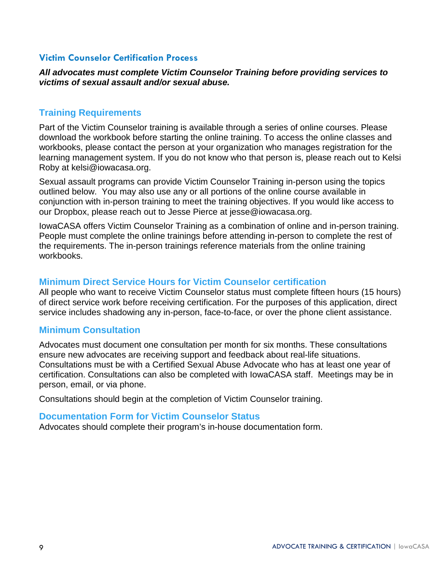### <span id="page-8-0"></span>**Victim Counselor Certification Process**

*All advocates must complete Victim Counselor Training before providing services to victims of sexual assault and/or sexual abuse.*

## <span id="page-8-1"></span>**Training Requirements**

Part of the Victim Counselor training is available through a series of online courses. Please download the workbook before starting the online training. To access the online classes and workbooks, please contact the person at your organization who manages registration for the learning management system. If you do not know who that person is, please reach out to Kelsi Roby at kelsi@iowacasa.org.

Sexual assault programs can provide Victim Counselor Training in-person using the topics outlined below. You may also use any or all portions of the online course available in conjunction with in-person training to meet the training objectives. If you would like access to our Dropbox, please reach out to Jesse Pierce at jesse@iowacasa.org.

IowaCASA offers Victim Counselor Training as a combination of online and in-person training. People must complete the online trainings before attending in-person to complete the rest of the requirements. The in-person trainings reference materials from the online training workbooks.

### <span id="page-8-2"></span>**Minimum Direct Service Hours for Victim Counselor certification**

All people who want to receive Victim Counselor status must complete fifteen hours (15 hours) of direct service work before receiving certification. For the purposes of this application, direct service includes shadowing any in-person, face-to-face, or over the phone client assistance.

### <span id="page-8-3"></span>**Minimum Consultation**

Advocates must document one consultation per month for six months. These consultations ensure new advocates are receiving support and feedback about real-life situations. Consultations must be with a Certified Sexual Abuse Advocate who has at least one year of certification. Consultations can also be completed with IowaCASA staff. Meetings may be in person, email, or via phone.

Consultations should begin at the completion of Victim Counselor training.

### <span id="page-8-4"></span>**Documentation Form for Victim Counselor Status**

Advocates should complete their program's in-house documentation form.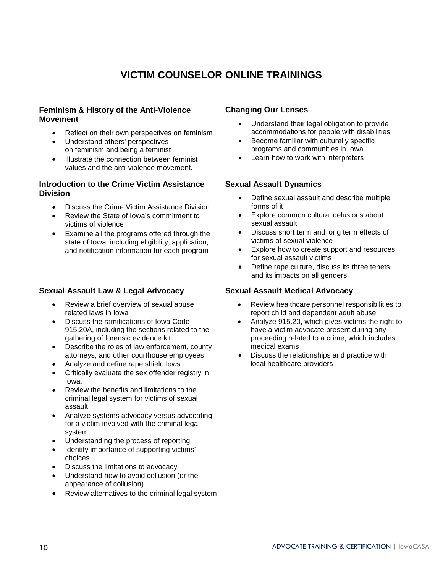# **VICTIM COUNSELOR ONLINE TRAININGS**

#### **Feminism & History of the Anti-Violence Movement**

- Reflect on their own perspectives on [feminism](https://iowacasa.liamcrest.com/mod/assign/view.php?id=25)
- Understand others' perspectives on [feminism](https://iowacasa.liamcrest.com/mod/assign/view.php?id=25) and being a feminist
- Illustrate the connection between feminist values and the anti-violence movement.

#### **Introduction to the Crime Victim Assistance Division**

- Discuss the Crime Victim Assistance Division
- Review the State of Iowa's commitment to victims of violence
- Examine all the programs offered through the state of Iowa, including eligibility, application, and notification information for each program

#### **Sexual Assault Law & Legal Advocacy**

- Review a brief overview of sexual abuse related laws in Iowa
- Discuss the ramifications of Iowa Code 915.20A, including the sections related to the gathering of forensic evidence kit
- Describe the roles of law enforcement, county attorneys, and other courthouse employees
- Analyze and define rape shield lows
- Critically evaluate the sex offender registry in Iowa.
- Review the benefits and limitations to the criminal legal system for victims of sexual assault
- Analyze systems advocacy versus advocating for a victim involved with the criminal legal system
- Understanding the process of reporting
- Identify importance of supporting victims' choices
- Discuss the limitations to advocacy
- Understand how to avoid collusion (or the appearance of collusion)
- Review alternatives to the criminal legal system

#### **Changing Our Lenses**

- Understand their legal obligation to provide accommodations for people with disabilities
- Become familiar with culturally specific programs and communities in Iowa
- Learn how to work with interpreters

#### **Sexual Assault Dynamics**

- Define sexual assault and describe multiple forms of it
- Explore common cultural delusions about sexual assault
- Discuss short term and long term effects of victims of sexual violence
- Explore how to create support and resources for sexual assault victims
- Define rape culture, discuss its three tenets, and its impacts on all genders

#### **Sexual Assault Medical Advocacy**

- Review healthcare personnel responsibilities to report child and dependent adult abuse
- Analyze 915.20, which gives victims the right to have a victim advocate present during any proceeding related to a crime, which includes medical exams
- Discuss the relationships and practice with local healthcare providers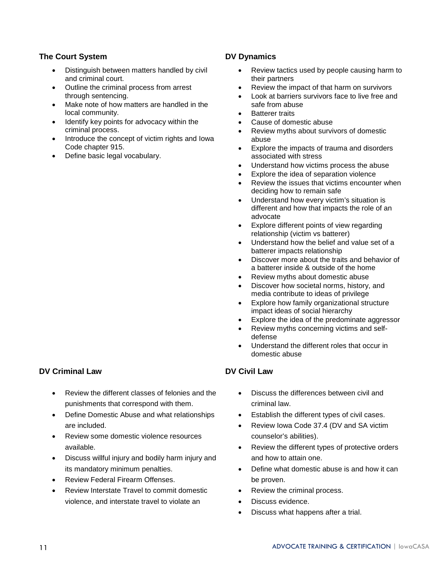#### **The Court System**

- Distinguish between matters handled by civil and criminal court.
- Outline the criminal process from arrest through sentencing.
- Make note of how matters are handled in the local community.
- Identify key points for advocacy within the criminal process.
- Introduce the concept of victim rights and Iowa Code chapter 915.
- Define basic legal vocabulary.

#### **DV Dynamics**

- Review tactics used by people causing harm to their partners
- Review the impact of that harm on survivors
- Look at barriers survivors face to live free and safe from abuse
- **Batterer traits**
- Cause of domestic abuse
- Review myths about survivors of domestic abuse
- Explore the impacts of trauma and disorders associated with stress
- Understand how victims process the abuse
- Explore the idea of separation violence
- Review the issues that victims encounter when deciding how to remain safe
- Understand how every victim's situation is different and how that impacts the role of an advocate
- Explore different points of view regarding relationship (victim vs batterer)
- Understand how the belief and value set of a batterer impacts relationship
- Discover more about the traits and behavior of a batterer inside & outside of the home
- Review myths about domestic abuse
- Discover how societal norms, history, and media contribute to ideas of privilege
- Explore how family organizational structure impact ideas of social hierarchy
- Explore the idea of the predominate aggressor
- Review myths concerning victims and selfdefense
- Understand the different roles that occur in domestic abuse

#### **DV Civil Law**

- Discuss the differences between civil and criminal law.
- Establish the different types of civil cases.
- Review Iowa Code 37.4 (DV and SA victim counselor's abilities).
- Review the different types of protective orders and how to attain one.
- Define what domestic abuse is and how it can be proven.
- Review the criminal process.
- Discuss evidence.
- Discuss what happens after a trial.

### **DV Criminal Law**

- Review the different classes of felonies and the punishments that correspond with them.
- Define Domestic Abuse and what relationships are included.
- Review some domestic violence resources available.
- Discuss willful injury and bodily harm injury and its mandatory minimum penalties.
- Review Federal Firearm Offenses.
- Review Interstate Travel to commit domestic violence, and interstate travel to violate an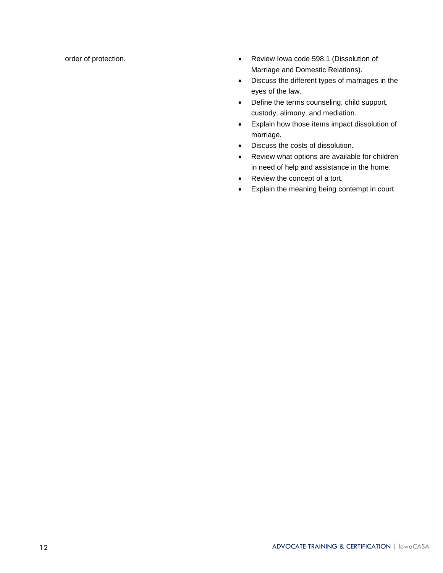- order of protection.  **Review Iowa code 598.1 (Dissolution of** Marriage and Domestic Relations).
	- Discuss the different types of marriages in the eyes of the law.
	- Define the terms counseling, child support, custody, alimony, and mediation.
	- Explain how those items impact dissolution of marriage.
	- Discuss the costs of dissolution.
	- Review what options are available for children in need of help and assistance in the home.
	- Review the concept of a tort.
	- Explain the meaning being contempt in court.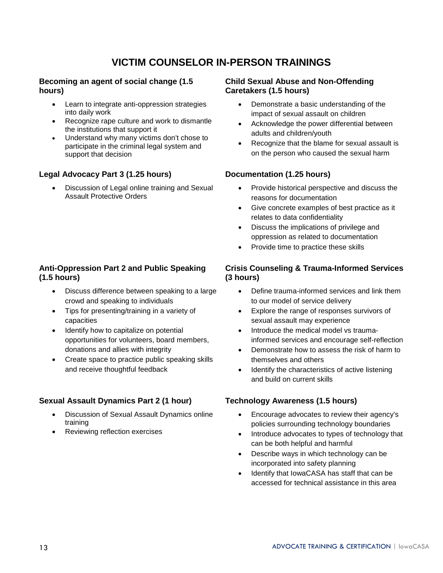# **VICTIM COUNSELOR IN-PERSON TRAININGS**

#### **Becoming an agent of social change (1.5 hours)**

- Learn to integrate anti-oppression strategies into daily work
- Recognize rape culture and work to dismantle the institutions that support it
- Understand why many victims don't chose to participate in the criminal legal system and support that decision

#### **Legal Advocacy Part 3 (1.25 hours)**

• Discussion of Legal online training and Sexual Assault Protective Orders

#### **Anti-Oppression Part 2 and Public Speaking (1.5 hours)**

- Discuss difference between speaking to a large crowd and speaking to individuals
- Tips for presenting/training in a variety of capacities
- Identify how to capitalize on potential opportunities for volunteers, board members, donations and allies with integrity
- Create space to practice public speaking skills and receive thoughtful feedback

#### **Sexual Assault Dynamics Part 2 (1 hour)**

- Discussion of Sexual Assault Dynamics online training
- Reviewing reflection exercises

#### **Child Sexual Abuse and Non-Offending Caretakers (1.5 hours)**

- Demonstrate a basic understanding of the impact of sexual assault on children
- Acknowledge the power differential between adults and children/youth
- Recognize that the blame for sexual assault is on the person who caused the sexual harm

#### **Documentation (1.25 hours)**

- Provide historical perspective and discuss the reasons for documentation
- Give concrete examples of best practice as it relates to data confidentiality
- Discuss the implications of privilege and oppression as related to documentation
- Provide time to practice these skills

#### **Crisis Counseling & Trauma-Informed Services (3 hours)**

- Define trauma-informed services and link them to our model of service delivery
- Explore the range of responses survivors of sexual assault may experience
- Introduce the medical model vs traumainformed services and encourage self-reflection
- Demonstrate how to assess the risk of harm to themselves and others
- Identify the characteristics of active listening and build on current skills

#### **Technology Awareness (1.5 hours)**

- Encourage advocates to review their agency's policies surrounding technology boundaries
- Introduce advocates to types of technology that can be both helpful and harmful
- Describe ways in which technology can be incorporated into safety planning
- Identify that IowaCASA has staff that can be accessed for technical assistance in this area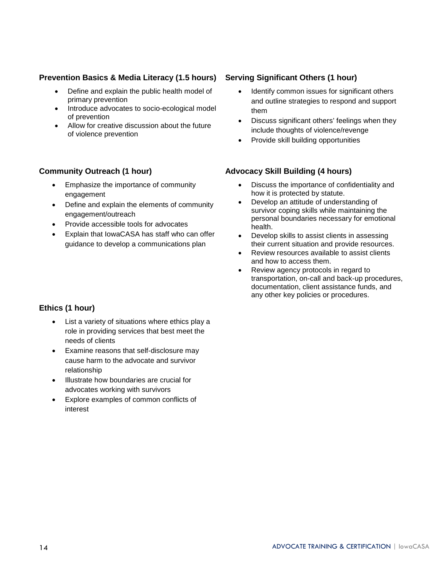#### **Prevention Basics & Media Literacy (1.5 hours)**

- Define and explain the public health model of primary prevention
- Introduce advocates to socio-ecological model of prevention
- Allow for creative discussion about the future of violence prevention

#### **Community Outreach (1 hour)**

- Emphasize the importance of community engagement
- Define and explain the elements of community engagement/outreach
- Provide accessible tools for advocates
- Explain that IowaCASA has staff who can offer guidance to develop a communications plan

#### **Serving Significant Others (1 hour)**

- Identify common issues for significant others and outline strategies to respond and support them
- Discuss significant others' feelings when they include thoughts of violence/revenge
- Provide skill building opportunities

#### **Advocacy Skill Building (4 hours)**

- Discuss the importance of confidentiality and how it is protected by statute.
- Develop an attitude of understanding of survivor coping skills while maintaining the personal boundaries necessary for emotional health.
- Develop skills to assist clients in assessing their current situation and provide resources.
- Review resources available to assist clients and how to access them.
- Review agency protocols in regard to transportation, on-call and back-up procedures, documentation, client assistance funds, and any other key policies or procedures.

#### **Ethics (1 hour)**

- List a variety of situations where ethics play a role in providing services that best meet the needs of clients
- Examine reasons that self-disclosure may cause harm to the advocate and survivor relationship
- Illustrate how boundaries are crucial for advocates working with survivors
- Explore examples of common conflicts of interest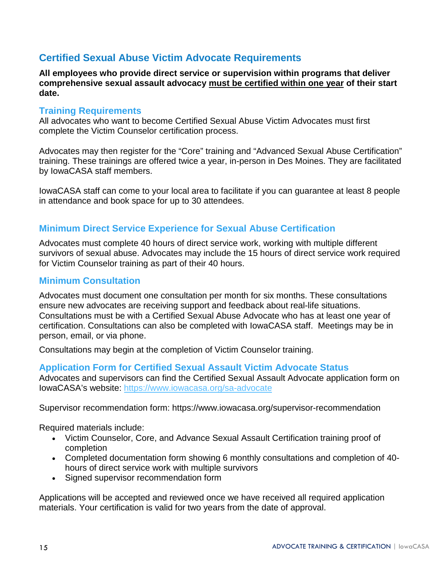# <span id="page-14-0"></span>**Certified Sexual Abuse Victim Advocate Requirements**

**All employees who provide direct service or supervision within programs that deliver comprehensive sexual assault advocacy must be certified within one year of their start date.** 

### <span id="page-14-1"></span>**Training Requirements**

All advocates who want to become Certified Sexual Abuse Victim Advocates must first complete the Victim Counselor certification process.

Advocates may then register for the "Core" training and "Advanced Sexual Abuse Certification" training. These trainings are offered twice a year, in-person in Des Moines. They are facilitated by IowaCASA staff members.

IowaCASA staff can come to your local area to facilitate if you can guarantee at least 8 people in attendance and book space for up to 30 attendees.

# <span id="page-14-2"></span>**Minimum Direct Service Experience for Sexual Abuse Certification**

Advocates must complete 40 hours of direct service work, working with multiple different survivors of sexual abuse. Advocates may include the 15 hours of direct service work required for Victim Counselor training as part of their 40 hours.

### <span id="page-14-3"></span>**Minimum Consultation**

Advocates must document one consultation per month for six months. These consultations ensure new advocates are receiving support and feedback about real-life situations. Consultations must be with a Certified Sexual Abuse Advocate who has at least one year of certification. Consultations can also be completed with IowaCASA staff. Meetings may be in person, email, or via phone.

Consultations may begin at the completion of Victim Counselor training.

### <span id="page-14-4"></span>**Application Form for Certified Sexual Assault Victim Advocate Status**

Advocates and supervisors can find the Certified Sexual Assault Advocate application form on IowaCASA's website:<https://www.iowacasa.org/sa-advocate>

Supervisor recommendation form: https://www.iowacasa.org/supervisor-recommendation

Required materials include:

- Victim Counselor, Core, and Advance Sexual Assault Certification training proof of completion
- Completed documentation form showing 6 monthly consultations and completion of 40 hours of direct service work with multiple survivors
- Signed supervisor recommendation form

Applications will be accepted and reviewed once we have received all required application materials. Your certification is valid for two years from the date of approval.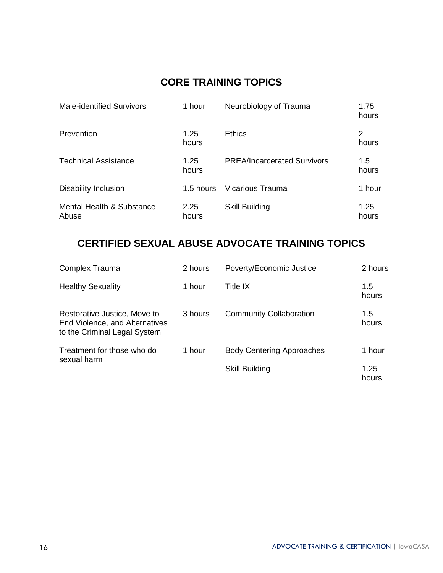# **CORE TRAINING TOPICS**

| <b>Male-identified Survivors</b>   | 1 hour        | Neurobiology of Trauma             | 1.75<br>hours |
|------------------------------------|---------------|------------------------------------|---------------|
| Prevention                         | 1.25<br>hours | <b>Ethics</b>                      | 2<br>hours    |
| <b>Technical Assistance</b>        | 1.25<br>hours | <b>PREA/Incarcerated Survivors</b> | 1.5<br>hours  |
| <b>Disability Inclusion</b>        | 1.5 hours     | Vicarious Trauma                   | 1 hour        |
| Mental Health & Substance<br>Abuse | 2.25<br>hours | <b>Skill Building</b>              | 1.25<br>hours |

# **CERTIFIED SEXUAL ABUSE ADVOCATE TRAINING TOPICS**

| <b>Complex Trauma</b>                                                                          | 2 hours | Poverty/Economic Justice         | 2 hours       |
|------------------------------------------------------------------------------------------------|---------|----------------------------------|---------------|
| <b>Healthy Sexuality</b>                                                                       | 1 hour  | Title IX                         | 1.5<br>hours  |
| Restorative Justice, Move to<br>End Violence, and Alternatives<br>to the Criminal Legal System | 3 hours | <b>Community Collaboration</b>   | 1.5<br>hours  |
| Treatment for those who do                                                                     | 1 hour  | <b>Body Centering Approaches</b> | 1 hour        |
| sexual harm                                                                                    |         | <b>Skill Building</b>            | 1.25<br>hours |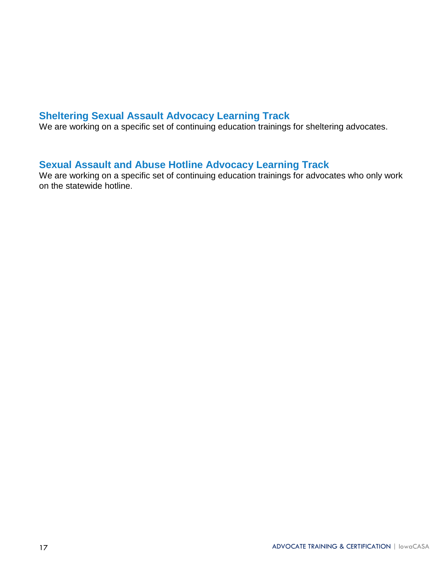# <span id="page-16-0"></span>**Sheltering Sexual Assault Advocacy Learning Track**

We are working on a specific set of continuing education trainings for sheltering advocates.

# <span id="page-16-1"></span>**Sexual Assault and Abuse Hotline Advocacy Learning Track**

We are working on a specific set of continuing education trainings for advocates who only work on the statewide hotline.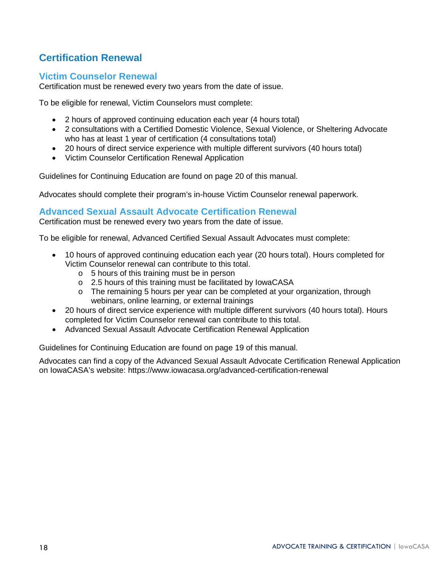# <span id="page-17-0"></span>**Certification Renewal**

### <span id="page-17-1"></span>**Victim Counselor Renewal**

Certification must be renewed every two years from the date of issue.

To be eligible for renewal, Victim Counselors must complete:

- 2 hours of approved continuing education each year (4 hours total)
- 2 consultations with a Certified Domestic Violence, Sexual Violence, or Sheltering Advocate who has at least 1 year of certification (4 consultations total)
- 20 hours of direct service experience with multiple different survivors (40 hours total)
- Victim Counselor Certification Renewal Application

Guidelines for Continuing Education are found on page 20 of this manual.

Advocates should complete their program's in-house Victim Counselor renewal paperwork.

### <span id="page-17-2"></span>**Advanced Sexual Assault Advocate Certification Renewal**

Certification must be renewed every two years from the date of issue.

To be eligible for renewal, Advanced Certified Sexual Assault Advocates must complete:

- 10 hours of approved continuing education each year (20 hours total). Hours completed for Victim Counselor renewal can contribute to this total.
	- o 5 hours of this training must be in person
	- o 2.5 hours of this training must be facilitated by IowaCASA
	- $\circ$  The remaining 5 hours per year can be completed at your organization, through webinars, online learning, or external trainings
- 20 hours of direct service experience with multiple different survivors (40 hours total). Hours completed for Victim Counselor renewal can contribute to this total.
- Advanced Sexual Assault Advocate Certification Renewal Application

Guidelines for Continuing Education are found on page 19 of this manual.

Advocates can find a copy of the Advanced Sexual Assault Advocate Certification Renewal Application on IowaCASA's website: https://www.iowacasa.org/advanced-certification-renewal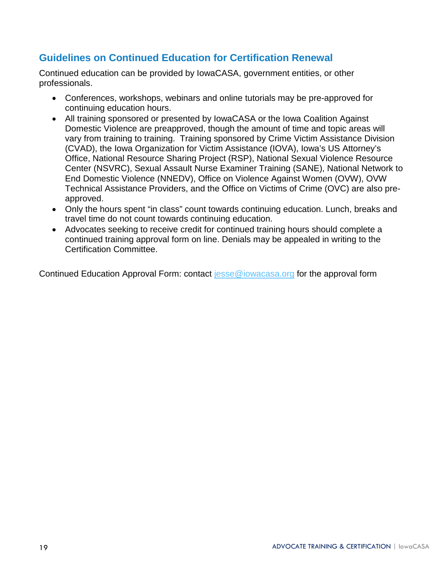# <span id="page-18-0"></span>**Guidelines on Continued Education for Certification Renewal**

Continued education can be provided by IowaCASA, government entities, or other professionals.

- Conferences, workshops, webinars and online tutorials may be pre-approved for continuing education hours.
- All training sponsored or presented by IowaCASA or the Iowa Coalition Against Domestic Violence are preapproved, though the amount of time and topic areas will vary from training to training. Training sponsored by Crime Victim Assistance Division (CVAD), the Iowa Organization for Victim Assistance (IOVA), Iowa's US Attorney's Office, National Resource Sharing Project (RSP), National Sexual Violence Resource Center (NSVRC), Sexual Assault Nurse Examiner Training (SANE), National Network to End Domestic Violence (NNEDV), Office on Violence Against Women (OVW), OVW Technical Assistance Providers, and the Office on Victims of Crime (OVC) are also preapproved.
- Only the hours spent "in class" count towards continuing education. Lunch, breaks and travel time do not count towards continuing education.
- Advocates seeking to receive credit for continued training hours should complete a continued training approval form on line. Denials may be appealed in writing to the Certification Committee.

Continued Education Approval Form: contact [jesse@iowacasa.org](mailto:jesse@iowacasa.org) for the approval form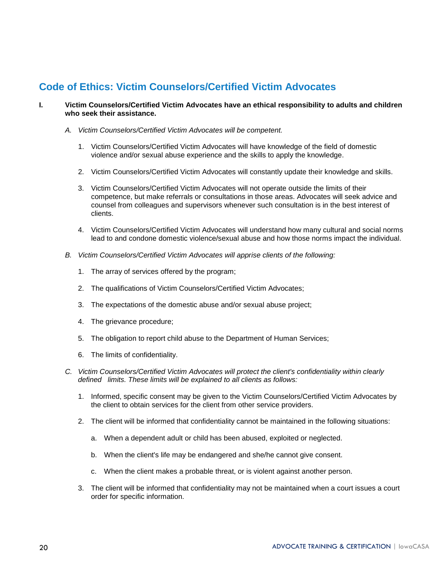# <span id="page-19-0"></span>**Code of Ethics: Victim Counselors/Certified Victim Advocates**

#### **I. Victim Counselors/Certified Victim Advocates have an ethical responsibility to adults and children who seek their assistance.**

- *A. Victim Counselors/Certified Victim Advocates will be competent.*
	- 1. Victim Counselors/Certified Victim Advocates will have knowledge of the field of domestic violence and/or sexual abuse experience and the skills to apply the knowledge.
	- 2. Victim Counselors/Certified Victim Advocates will constantly update their knowledge and skills.
	- 3. Victim Counselors/Certified Victim Advocates will not operate outside the limits of their competence, but make referrals or consultations in those areas. Advocates will seek advice and counsel from colleagues and supervisors whenever such consultation is in the best interest of clients.
	- 4. Victim Counselors/Certified Victim Advocates will understand how many cultural and social norms lead to and condone domestic violence/sexual abuse and how those norms impact the individual.
- *B. Victim Counselors/Certified Victim Advocates will apprise clients of the following:*
	- 1. The array of services offered by the program;
	- 2. The qualifications of Victim Counselors/Certified Victim Advocates;
	- 3. The expectations of the domestic abuse and/or sexual abuse project;
	- 4. The grievance procedure;
	- 5. The obligation to report child abuse to the Department of Human Services;
	- 6. The limits of confidentiality.
- *C. Victim Counselors/Certified Victim Advocates will protect the client's confidentiality within clearly defined limits. These limits will be explained to all clients as follows:*
	- 1. Informed, specific consent may be given to the Victim Counselors/Certified Victim Advocates by the client to obtain services for the client from other service providers.
	- 2. The client will be informed that confidentiality cannot be maintained in the following situations:
		- a. When a dependent adult or child has been abused, exploited or neglected.
		- b. When the client's life may be endangered and she/he cannot give consent.
		- c. When the client makes a probable threat, or is violent against another person.
	- 3. The client will be informed that confidentiality may not be maintained when a court issues a court order for specific information.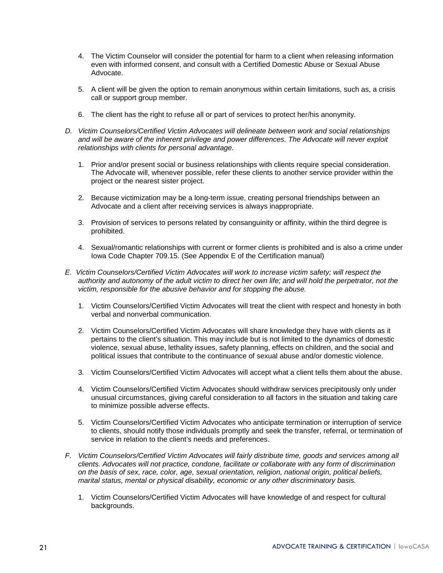- 4. The Victim Counselor will consider the potential for harm to a client when releasing information even with informed consent, and consult with a Certified Domestic Abuse or Sexual Abuse Advocate.
- 5. A client will be given the option to remain anonymous within certain limitations, such as, a crisis call or support group member.
- 6. The client has the right to refuse all or part of services to protect her/his anonymity.
- *D. Victim Counselors/Certified Victim Advocates will delineate between work and social relationships*  and will be aware of the inherent privilege and power differences. The Advocate will never exploit *relationships with clients for personal advantage.*
	- 1. Prior and/or present social or business relationships with clients require special consideration. The Advocate will, whenever possible, refer these clients to another service provider within the project or the nearest sister project.
	- 2. Because victimization may be a long-term issue, creating personal friendships between an Advocate and a client after receiving services is always inappropriate.
	- 3. Provision of services to persons related by consanguinity or affinity, within the third degree is prohibited.
	- 4. Sexual/romantic relationships with current or former clients is prohibited and is also a crime under Iowa Code Chapter 709.15. (See Appendix E of the Certification manual)
- *E. Victim Counselors/Certified Victim Advocates will work to increase victim safety; will respect the authority and autonomy of the adult victim to direct her own life; and will hold the perpetrator, not the victim, responsible for the abusive behavior and for stopping the abuse.*
	- 1. Victim Counselors/Certified Victim Advocates will treat the client with respect and honesty in both verbal and nonverbal communication.
	- 2. Victim Counselors/Certified Victim Advocates will share knowledge they have with clients as it pertains to the client's situation. This may include but is not limited to the dynamics of domestic violence, sexual abuse, lethality issues, safety planning, effects on children, and the social and political issues that contribute to the continuance of sexual abuse and/or domestic violence.
	- 3. Victim Counselors/Certified Victim Advocates will accept what a client tells them about the abuse.
	- 4. Victim Counselors/Certified Victim Advocates should withdraw services precipitously only under unusual circumstances, giving careful consideration to all factors in the situation and taking care to minimize possible adverse effects.
	- 5. Victim Counselors/Certified Victim Advocates who anticipate termination or interruption of service to clients, should notify those individuals promptly and seek the transfer, referral, or termination of service in relation to the client's needs and preferences.
- *F. Victim Counselors/Certified Victim Advocates will fairly distribute time, goods and services among all clients. Advocates will not practice, condone, facilitate or collaborate with any form of discrimination on the basis of sex, race, color, age, sexual orientation, religion, national origin, political beliefs, marital status, mental or physical disability, economic or any other discriminatory basis.*
	- 1. Victim Counselors/Certified Victim Advocates will have knowledge of and respect for cultural backgrounds.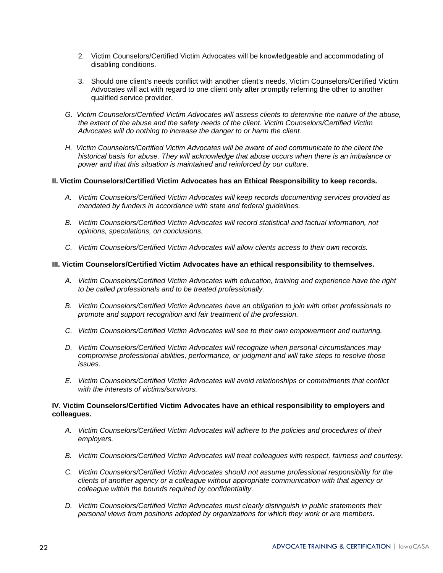- 2. Victim Counselors/Certified Victim Advocates will be knowledgeable and accommodating of disabling conditions.
- 3. Should one client's needs conflict with another client's needs, Victim Counselors/Certified Victim Advocates will act with regard to one client only after promptly referring the other to another qualified service provider.
- *G. Victim Counselors/Certified Victim Advocates will assess clients to determine the nature of the abuse, the extent of the abuse and the safety needs of the client. Victim Counselors/Certified Victim Advocates will do nothing to increase the danger to or harm the client.*
- *H. Victim Counselors/Certified Victim Advocates will be aware of and communicate to the client the historical basis for abuse. They will acknowledge that abuse occurs when there is an imbalance or power and that this situation is maintained and reinforced by our culture.*

#### **II. Victim Counselors/Certified Victim Advocates has an Ethical Responsibility to keep records.**

- *A. Victim Counselors/Certified Victim Advocates will keep records documenting services provided as mandated by funders in accordance with state and federal guidelines.*
- *B. Victim Counselors/Certified Victim Advocates will record statistical and factual information, not opinions, speculations, on conclusions.*
- *C. Victim Counselors/Certified Victim Advocates will allow clients access to their own records.*

#### **III. Victim Counselors/Certified Victim Advocates have an ethical responsibility to themselves.**

- *A. Victim Counselors/Certified Victim Advocates with education, training and experience have the right to be called professionals and to be treated professionally.*
- *B. Victim Counselors/Certified Victim Advocates have an obligation to join with other professionals to promote and support recognition and fair treatment of the profession.*
- *C. Victim Counselors/Certified Victim Advocates will see to their own empowerment and nurturing.*
- *D. Victim Counselors/Certified Victim Advocates will recognize when personal circumstances may compromise professional abilities, performance, or judgment and will take steps to resolve those issues.*
- *E. Victim Counselors/Certified Victim Advocates will avoid relationships or commitments that conflict with the interests of victims/survivors.*

#### **IV. Victim Counselors/Certified Victim Advocates have an ethical responsibility to employers and colleagues.**

- *A. Victim Counselors/Certified Victim Advocates will adhere to the policies and procedures of their employers.*
- *B. Victim Counselors/Certified Victim Advocates will treat colleagues with respect, fairness and courtesy.*
- *C. Victim Counselors/Certified Victim Advocates should not assume professional responsibility for the clients of another agency or a colleague without appropriate communication with that agency or colleague within the bounds required by confidentiality.*
- *D. Victim Counselors/Certified Victim Advocates must clearly distinguish in public statements their personal views from positions adopted by organizations for which they work or are members.*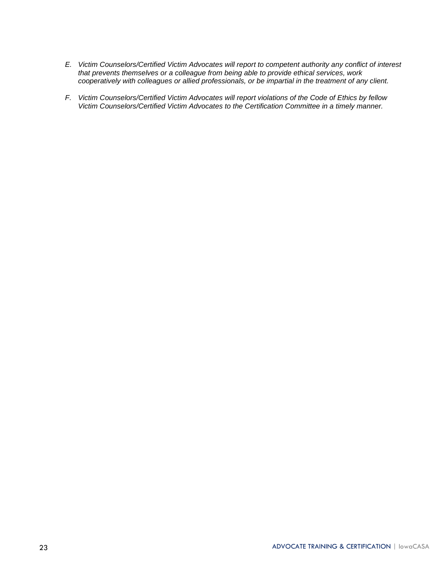- *E. Victim Counselors/Certified Victim Advocates will report to competent authority any conflict of interest that prevents themselves or a colleague from being able to provide ethical services, work cooperatively with colleagues or allied professionals, or be impartial in the treatment of any client.*
- *F. Victim Counselors/Certified Victim Advocates will report violations of the Code of Ethics by fellow Victim Counselors/Certified Victim Advocates to the Certification Committee in a timely manner.*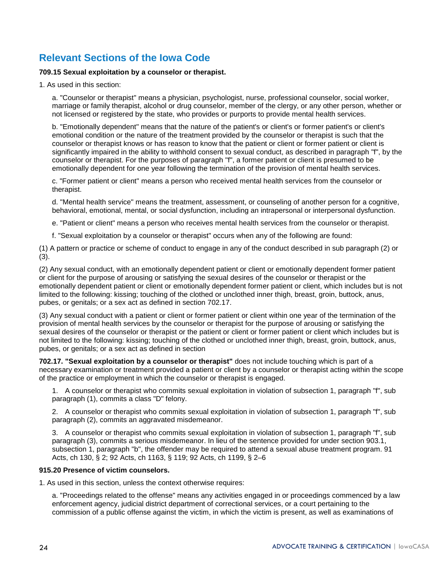# <span id="page-23-0"></span>**Relevant Sections of the Iowa Code**

#### **709.15 Sexual exploitation by a counselor or therapist.**

1. As used in this section:

a. "Counselor or therapist" means a physician, psychologist, nurse, professional counselor, social worker, marriage or family therapist, alcohol or drug counselor, member of the clergy, or any other person, whether or not licensed or registered by the state, who provides or purports to provide mental health services.

b. "Emotionally dependent" means that the nature of the patient's or client's or former patient's or client's emotional condition or the nature of the treatment provided by the counselor or therapist is such that the counselor or therapist knows or has reason to know that the patient or client or former patient or client is significantly impaired in the ability to withhold consent to sexual conduct, as described in paragraph "f", by the counselor or therapist. For the purposes of paragraph "f", a former patient or client is presumed to be emotionally dependent for one year following the termination of the provision of mental health services.

c. "Former patient or client" means a person who received mental health services from the counselor or therapist.

d. "Mental health service" means the treatment, assessment, or counseling of another person for a cognitive, behavioral, emotional, mental, or social dysfunction, including an intrapersonal or interpersonal dysfunction.

e. "Patient or client" means a person who receives mental health services from the counselor or therapist.

f. "Sexual exploitation by a counselor or therapist" occurs when any of the following are found:

(1) A pattern or practice or scheme of conduct to engage in any of the conduct described in sub paragraph (2) or (3).

(2) Any sexual conduct, with an emotionally dependent patient or client or emotionally dependent former patient or client for the purpose of arousing or satisfying the sexual desires of the counselor or therapist or the emotionally dependent patient or client or emotionally dependent former patient or client, which includes but is not limited to the following: kissing; touching of the clothed or unclothed inner thigh, breast, groin, buttock, anus, pubes, or genitals; or a sex act as defined in section 702.17.

(3) Any sexual conduct with a patient or client or former patient or client within one year of the termination of the provision of mental health services by the counselor or therapist for the purpose of arousing or satisfying the sexual desires of the counselor or therapist or the patient or client or former patient or client which includes but is not limited to the following: kissing; touching of the clothed or unclothed inner thigh, breast, groin, buttock, anus, pubes, or genitals; or a sex act as defined in section

**702.17. "Sexual exploitation by a counselor or therapist"** does not include touching which is part of a necessary examination or treatment provided a patient or client by a counselor or therapist acting within the scope of the practice or employment in which the counselor or therapist is engaged.

1. A counselor or therapist who commits sexual exploitation in violation of subsection 1, paragraph "f", sub paragraph (1), commits a class "D" felony.

2. A counselor or therapist who commits sexual exploitation in violation of subsection 1, paragraph "f", sub paragraph (2), commits an aggravated misdemeanor.

3. A counselor or therapist who commits sexual exploitation in violation of subsection 1, paragraph "f", sub paragraph (3), commits a serious misdemeanor. In lieu of the sentence provided for under section 903.1, subsection 1, paragraph "b", the offender may be required to attend a sexual abuse treatment program. 91 Acts, ch 130, § 2; 92 Acts, ch 1163, § 119; 92 Acts, ch 1199, § 2–6

#### **915.20 Presence of victim counselors.**

1. As used in this section, unless the context otherwise requires:

a. "Proceedings related to the offense" means any activities engaged in or proceedings commenced by a law enforcement agency, judicial district department of correctional services, or a court pertaining to the commission of a public offense against the victim, in which the victim is present, as well as examinations of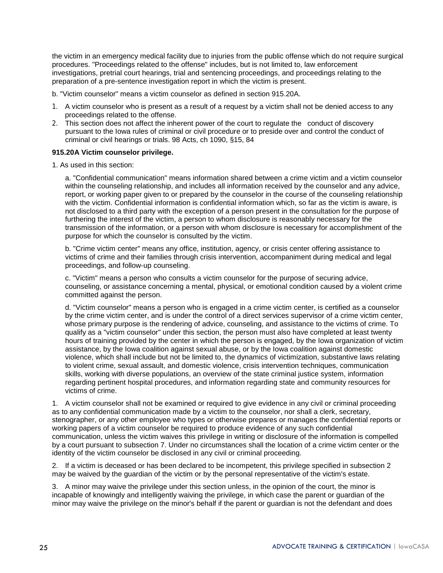the victim in an emergency medical facility due to injuries from the public offense which do not require surgical procedures. "Proceedings related to the offense" includes, but is not limited to, law enforcement investigations, pretrial court hearings, trial and sentencing proceedings, and proceedings relating to the preparation of a pre-sentence investigation report in which the victim is present.

- b. "Victim counselor" means a victim counselor as defined in section 915.20A.
- 1. A victim counselor who is present as a result of a request by a victim shall not be denied access to any proceedings related to the offense.
- 2. This section does not affect the inherent power of the court to regulate the conduct of discovery pursuant to the Iowa rules of criminal or civil procedure or to preside over and control the conduct of criminal or civil hearings or trials. 98 Acts, ch 1090, §15, 84

#### **915.20A Victim counselor privilege.**

1. As used in this section:

a. "Confidential communication" means information shared between a crime victim and a victim counselor within the counseling relationship, and includes all information received by the counselor and any advice, report, or working paper given to or prepared by the counselor in the course of the counseling relationship with the victim. Confidential information is confidential information which, so far as the victim is aware, is not disclosed to a third party with the exception of a person present in the consultation for the purpose of furthering the interest of the victim, a person to whom disclosure is reasonably necessary for the transmission of the information, or a person with whom disclosure is necessary for accomplishment of the purpose for which the counselor is consulted by the victim.

b. "Crime victim center" means any office, institution, agency, or crisis center offering assistance to victims of crime and their families through crisis intervention, accompaniment during medical and legal proceedings, and follow-up counseling.

c. "Victim" means a person who consults a victim counselor for the purpose of securing advice, counseling, or assistance concerning a mental, physical, or emotional condition caused by a violent crime committed against the person.

d. "Victim counselor" means a person who is engaged in a crime victim center, is certified as a counselor by the crime victim center, and is under the control of a direct services supervisor of a crime victim center, whose primary purpose is the rendering of advice, counseling, and assistance to the victims of crime. To qualify as a "victim counselor" under this section, the person must also have completed at least twenty hours of training provided by the center in which the person is engaged, by the Iowa organization of victim assistance, by the Iowa coalition against sexual abuse, or by the Iowa coalition against domestic violence, which shall include but not be limited to, the dynamics of victimization, substantive laws relating to violent crime, sexual assault, and domestic violence, crisis intervention techniques, communication skills, working with diverse populations, an overview of the state criminal justice system, information regarding pertinent hospital procedures, and information regarding state and community resources for victims of crime.

1. A victim counselor shall not be examined or required to give evidence in any civil or criminal proceeding as to any confidential communication made by a victim to the counselor, nor shall a clerk, secretary, stenographer, or any other employee who types or otherwise prepares or manages the confidential reports or working papers of a victim counselor be required to produce evidence of any such confidential communication, unless the victim waives this privilege in writing or disclosure of the information is compelled by a court pursuant to subsection 7. Under no circumstances shall the location of a crime victim center or the identity of the victim counselor be disclosed in any civil or criminal proceeding.

2. If a victim is deceased or has been declared to be incompetent, this privilege specified in subsection 2 may be waived by the guardian of the victim or by the personal representative of the victim's estate.

3. A minor may waive the privilege under this section unless, in the opinion of the court, the minor is incapable of knowingly and intelligently waiving the privilege, in which case the parent or guardian of the minor may waive the privilege on the minor's behalf if the parent or guardian is not the defendant and does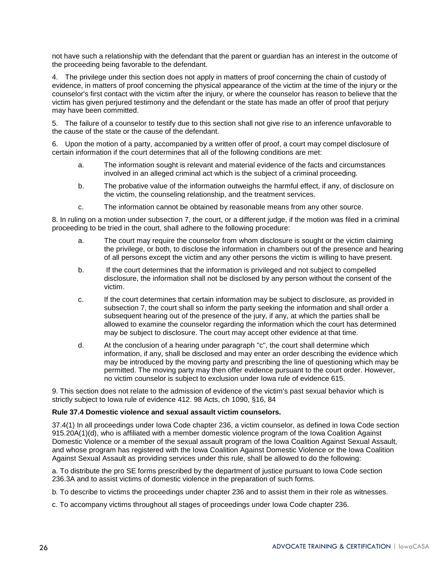not have such a relationship with the defendant that the parent or guardian has an interest in the outcome of the proceeding being favorable to the defendant.

4. The privilege under this section does not apply in matters of proof concerning the chain of custody of evidence, in matters of proof concerning the physical appearance of the victim at the time of the injury or the counselor's first contact with the victim after the injury, or where the counselor has reason to believe that the victim has given perjured testimony and the defendant or the state has made an offer of proof that perjury may have been committed.

5. The failure of a counselor to testify due to this section shall not give rise to an inference unfavorable to the cause of the state or the cause of the defendant.

6. Upon the motion of a party, accompanied by a written offer of proof, a court may compel disclosure of certain information if the court determines that all of the following conditions are met:

- a. The information sought is relevant and material evidence of the facts and circumstances involved in an alleged criminal act which is the subject of a criminal proceeding.
- b. The probative value of the information outweighs the harmful effect, if any, of disclosure on the victim, the counseling relationship, and the treatment services.
- c. The information cannot be obtained by reasonable means from any other source.

8. In ruling on a motion under subsection 7, the court, or a different judge, if the motion was filed in a criminal proceeding to be tried in the court, shall adhere to the following procedure:

- a. The court may require the counselor from whom disclosure is sought or the victim claiming the privilege, or both, to disclose the information in chambers out of the presence and hearing of all persons except the victim and any other persons the victim is willing to have present.
- b. If the court determines that the information is privileged and not subject to compelled disclosure, the information shall not be disclosed by any person without the consent of the victim.
- c. If the court determines that certain information may be subject to disclosure, as provided in subsection 7, the court shall so inform the party seeking the information and shall order a subsequent hearing out of the presence of the jury, if any, at which the parties shall be allowed to examine the counselor regarding the information which the court has determined may be subject to disclosure. The court may accept other evidence at that time.
- d. At the conclusion of a hearing under paragraph "c", the court shall determine which information, if any, shall be disclosed and may enter an order describing the evidence which may be introduced by the moving party and prescribing the line of questioning which may be permitted. The moving party may then offer evidence pursuant to the court order. However, no victim counselor is subject to exclusion under Iowa rule of evidence 615.

9. This section does not relate to the admission of evidence of the victim's past sexual behavior which is strictly subject to Iowa rule of evidence 412. 98 Acts, ch 1090, §16, 84

#### **Rule 37.4 Domestic violence and sexual assault victim counselors.**

37.4(1) In all proceedings under Iowa Code chapter 236, a victim counselor, as defined in Iowa Code section 915.20A(1)(d), who is affiliated with a member domestic violence program of the Iowa Coalition Against Domestic Violence or a member of the sexual assault program of the Iowa Coalition Against Sexual Assault, and whose program has registered with the Iowa Coalition Against Domestic Violence or the Iowa Coalition Against Sexual Assault as providing services under this rule, shall be allowed to do the following:

a. To distribute the pro SE forms prescribed by the department of justice pursuant to Iowa Code section 236.3A and to assist victims of domestic violence in the preparation of such forms.

- b. To describe to victims the proceedings under chapter 236 and to assist them in their role as witnesses.
- c. To accompany victims throughout all stages of proceedings under Iowa Code chapter 236.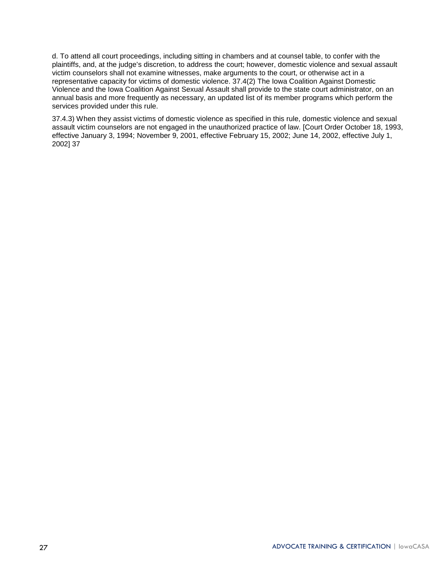d. To attend all court proceedings, including sitting in chambers and at counsel table, to confer with the plaintiffs, and, at the judge's discretion, to address the court; however, domestic violence and sexual assault victim counselors shall not examine witnesses, make arguments to the court, or otherwise act in a representative capacity for victims of domestic violence. 37.4(2) The Iowa Coalition Against Domestic Violence and the Iowa Coalition Against Sexual Assault shall provide to the state court administrator, on an annual basis and more frequently as necessary, an updated list of its member programs which perform the services provided under this rule.

37.4.3) When they assist victims of domestic violence as specified in this rule, domestic violence and sexual assault victim counselors are not engaged in the unauthorized practice of law. [Court Order October 18, 1993, effective January 3, 1994; November 9, 2001, effective February 15, 2002; June 14, 2002, effective July 1, 2002] 37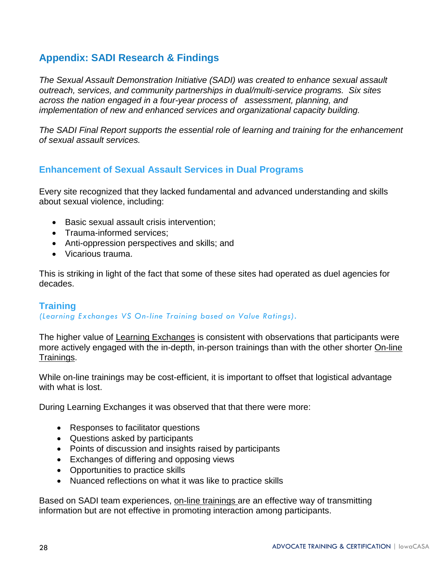# <span id="page-27-0"></span>**Appendix: SADI Research & Findings**

*The Sexual Assault Demonstration Initiative (SADI) was created to enhance sexual assault outreach, services, and community partnerships in dual/multi-service programs. Six sites across the nation engaged in a four-year process of assessment, planning, and implementation of new and enhanced services and organizational capacity building.*

*The SADI Final Report supports the essential role of learning and training for the enhancement of sexual assault services.* 

# <span id="page-27-1"></span>**Enhancement of Sexual Assault Services in Dual Programs**

Every site recognized that they lacked fundamental and advanced understanding and skills about sexual violence, including:

- Basic sexual assault crisis intervention;
- Trauma-informed services;
- Anti-oppression perspectives and skills; and
- Vicarious trauma.

This is striking in light of the fact that some of these sites had operated as duel agencies for decades.

### <span id="page-27-2"></span>**Training**

*(Learning Exchanges VS On-line Training based on Value Ratings).*

The higher value of Learning Exchanges is consistent with observations that participants were more actively engaged with the in-depth, in-person trainings than with the other shorter On-line Trainings.

While on-line trainings may be cost-efficient, it is important to offset that logistical advantage with what is lost.

During Learning Exchanges it was observed that that there were more:

- Responses to facilitator questions
- Questions asked by participants
- Points of discussion and insights raised by participants
- Exchanges of differing and opposing views
- Opportunities to practice skills
- Nuanced reflections on what it was like to practice skills

Based on SADI team experiences, on-line trainings are an effective way of transmitting information but are not effective in promoting interaction among participants.